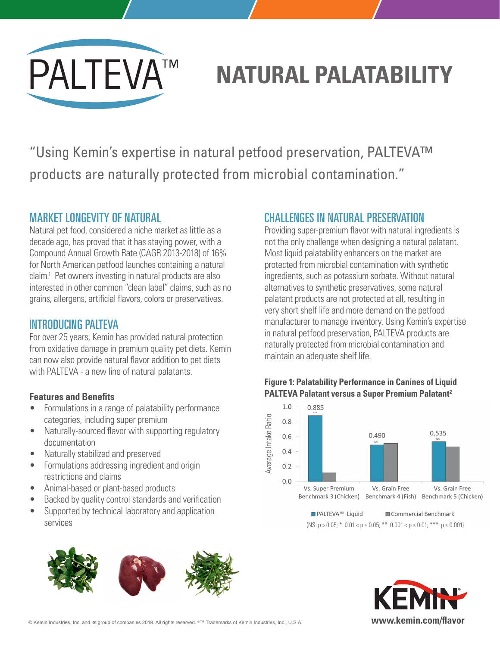

# **NATURAL PALATABILITY**

"Using Kemin's expertise in natural petfood preservation, PALTEVA™ products are naturally protected from microbial contamination."

## MARKET LONGEVITY OF NATURAL

Natural pet food, considered a niche market as little as a decade ago, has proved that it has staying power, with a Compound Annual Growth Rate (CAGR 2013-2018) of 16% for North American petfood launches containing a natural claim.1 Pet owners investing in natural products are also interested in other common "clean label" claims, such as no grains, allergens, artificial flavors, colors or preservatives.

## INTRODUCING PALTEVA

For over 25 years, Kemin has provided natural protection from oxidative damage in premium quality pet diets. Kemin can now also provide natural flavor addition to pet diets with PALTEVA - a new line of natural palatants.

#### **Features and Benefits**

- Formulations in a range of palatability performance categories, including super premium
- Naturally-sourced flavor with supporting regulatory documentation
- Naturally stabilized and preserved
- Formulations addressing ingredient and origin restrictions and claims
- Animal-based or plant-based products
- Backed by quality control standards and verification
- Supported by technical laboratory and application services



# CHALLENGES IN NATURAL PRESERVATION

Providing super-premium flavor with natural ingredients is not the only challenge when designing a natural palatant. Most liquid palatability enhancers on the market are protected from microbial contamination with synthetic ingredients, such as potassium sorbate. Without natural alternatives to synthetic preservatives, some natural palatant products are not protected at all, resulting in very short shelf life and more demand on the petfood manufacturer to manage inventory. Using Kemin's expertise in natural petfood preservation, PALTEVA products are naturally protected from microbial contamination and maintain an adequate shelf life.







© Kemin Industries, Inc. and its group of companies 2019. All rights reserved. ®™ Trademarks of Kemin Industries, Inc., U.S.A. **www.kemin.com/flavor**